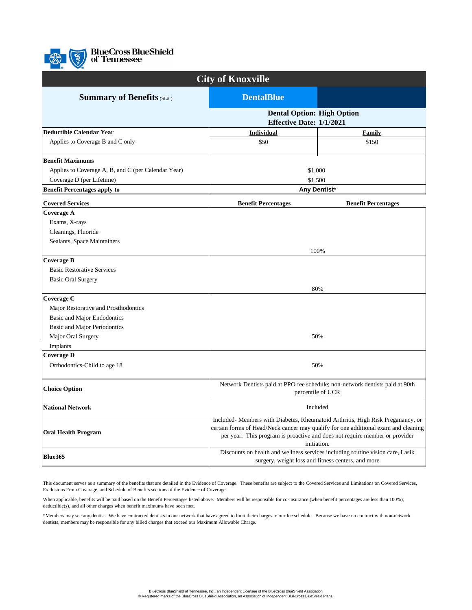

**BlueCross BlueShield**<br>**of Tennessee** 

| <b>City of Knoxville</b>                            |                                                                                                                                                                                                                                                                           |                            |
|-----------------------------------------------------|---------------------------------------------------------------------------------------------------------------------------------------------------------------------------------------------------------------------------------------------------------------------------|----------------------------|
| <b>Summary of Benefits (SL#)</b>                    | <b>DentalBlue</b>                                                                                                                                                                                                                                                         |                            |
|                                                     | <b>Dental Option: High Option</b><br><b>Effective Date: 1/1/2021</b>                                                                                                                                                                                                      |                            |
| <b>Deductible Calendar Year</b>                     | <b>Individual</b>                                                                                                                                                                                                                                                         | Family                     |
| Applies to Coverage B and C only                    | \$50                                                                                                                                                                                                                                                                      | \$150                      |
| <b>Benefit Maximums</b>                             |                                                                                                                                                                                                                                                                           |                            |
| Applies to Coverage A, B, and C (per Calendar Year) | \$1,000                                                                                                                                                                                                                                                                   |                            |
| Coverage D (per Lifetime)                           | \$1,500                                                                                                                                                                                                                                                                   |                            |
| <b>Benefit Percentages apply to</b>                 | Any Dentist*                                                                                                                                                                                                                                                              |                            |
| <b>Covered Services</b>                             | <b>Benefit Percentages</b>                                                                                                                                                                                                                                                | <b>Benefit Percentages</b> |
| Coverage A                                          |                                                                                                                                                                                                                                                                           |                            |
| Exams, X-rays                                       |                                                                                                                                                                                                                                                                           |                            |
| Cleanings, Fluoride                                 |                                                                                                                                                                                                                                                                           |                            |
| Sealants, Space Maintainers                         |                                                                                                                                                                                                                                                                           |                            |
|                                                     | 100%                                                                                                                                                                                                                                                                      |                            |
| Coverage B                                          |                                                                                                                                                                                                                                                                           |                            |
| <b>Basic Restorative Services</b>                   |                                                                                                                                                                                                                                                                           |                            |
| <b>Basic Oral Surgery</b>                           |                                                                                                                                                                                                                                                                           |                            |
|                                                     | 80%                                                                                                                                                                                                                                                                       |                            |
| Coverage C                                          |                                                                                                                                                                                                                                                                           |                            |
| Major Restorative and Prosthodontics                |                                                                                                                                                                                                                                                                           |                            |
| Basic and Major Endodontics                         |                                                                                                                                                                                                                                                                           |                            |
| Basic and Major Periodontics                        |                                                                                                                                                                                                                                                                           |                            |
| Major Oral Surgery                                  | 50%                                                                                                                                                                                                                                                                       |                            |
| Implants                                            |                                                                                                                                                                                                                                                                           |                            |
| <b>Coverage D</b>                                   |                                                                                                                                                                                                                                                                           |                            |
| Orthodontics-Child to age 18                        | 50%                                                                                                                                                                                                                                                                       |                            |
| <b>Choice Option</b>                                | Network Dentists paid at PPO fee schedule; non-network dentists paid at 90th<br>percentile of UCR                                                                                                                                                                         |                            |
| <b>National Network</b>                             | Included                                                                                                                                                                                                                                                                  |                            |
| <b>Oral Health Program</b>                          | Included-Members with Diabetes, Rheumatoid Arthritis, High Risk Preganancy, or<br>certain forms of Head/Neck cancer may qualify for one additional exam and cleaning<br>per year. This program is proactive and does not require member or provider<br><i>initiation.</i> |                            |
| Blue365                                             | Discounts on health and wellness services including routine vision care, Lasik<br>surgery, weight loss and fitness centers, and more                                                                                                                                      |                            |

This document serves as a summary of the benefits that are detailed in the Evidence of Coverage. These benefits are subject to the Covered Services and Limitations on Covered Services, Exclusions From Coverage, and Schedule of Benefits sections of the Evidence of Coverage.

When applicable, benefits will be paid based on the Benefit Percentages listed above. Members will be responsible for co-insurance (when benefit percentages are less than 100%), deductible(s), and all other charges when benefit maximums have been met.

\*Members may see any dentist. We have contracted dentists in our network that have agreed to limit their charges to our fee schedule. Because we have no contract with non-network dentists, members may be responsible for any billed charges that exceed our Maximum Allowable Charge.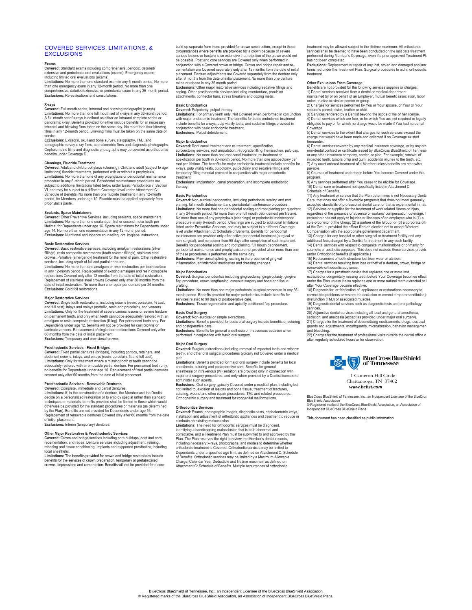# COVERED SERVICES, LIMITATIONS, & **EXCLUSIONS**

# **Exams**

**Covered:** Standard exams including comprehensive, periodic, detailed/<br>extensive and periodontal oral evaluations (exams). Emergency exams,<br>including limited oral evaluations (exams).<br>L**imitations:** No more than one standa

than one emergency exam in any 12-month period. No more than one<br>comprehensive, detailed/extensive, or periodontal exam in any 36-month period.<br>**Exclusions:** Re-evaluations and consultations.

### **X-rays**

Covered: Full mouth series, intraoral and bitewing radiographs (x-rays).<br>Limitations: No more than one full mouth set of x-rays in any 36-month period.<br>A full mouth set of x-rays is defined as either an intraoral complete films in any 12-month period. Bitewing films must be taken on the same date of

service.<br>**Exclusions:** Extraoral, skull and bone survey, sialography, TMJ, and<br>tomographic survey x-ray films, cephalometric films and diagnostic photographs.<br>Cephalometric films and diagnostic photographs may be covered a benefits under Coverage D.

**Cleanings, Fluoride Treatment Covered:** Adult and child prophylaxis (cleaning). Child and adult (subject to age limitations) fluoride treatments, performed with or without a prophylaxis. **Limitations:** No more than one of any prophylaxis or periodontal maintenance procedure in any 6-month period. Periodontal maintenance procedures are subject to additional limitations listed below under Basic Periodontics in Section VI, and may be subject to a different Coverage level under Attachment C: Schedule of Benefits. No more than one fluoride treatment in any 12-month period, for Members under age 19. Fluoride must be applied sep prophylaxis paste.

### **Sealants, Space Maintainers**

**Covered:** Other Preventive Services, including sealants, space maintainers.<br>**Limitations:** No more than one sealant per first or second molar tooth per<br>lifetime, for Dependents under age 16. Space maintainers for Dependen age 14. No more than one recementation in any 12-month period. **Exclusions:** Nutritional and tobacco counseling, oral hygiene instructions.

## **Basic Restorative Services**

**Covered:** Basic restorative services, including amalgam restorations (silver fillings), resin composite restorations (tooth colored fillings), stainless steel<br>crowns. Palliative (emergency) treatment for the relief of pain. Other restorative<br>Limitations: No more than one analgam or resin restoratio

restorations Covered only after 12 months from the date of initial restoration.<br>Replacement of stainless steel crowns Covered only after 36 months from the<br>date of initial restoration. No more than one repair per denture p

### **Major Restorative Services**

Covered: Single tooth restorations, including crowns (resin, porcelain, ¾ cast,<br>and full cast), inlays and onlays (metallic, resin and porcelain), and veneers.<br>L**imitations:** Only for the treatment of severe carious lesio on permanent teeth, and only when teeth cannot be adequately restored with an amalgam or resin composite restoration (filling). For permanent teeth only. For<br>Dependents under age 12, benefits will not be provided for cast crowns or<br>laminate veneers. Replacement of single tooth restorations Covered o **Exclusions:** Temporary and provisional crowns.

# **Prosthodontic Services - Fixed Bridges**

**Covered:** Fixed partial dentures (bridges), including pontics, retainers, and abutment crowns, inlays, and onlays (resin, porcelain, ¾ and full cast). **Limitations:** Only for treatment where a missing tooth or teeth cannot be<br>adequately restored with a removable partial denture. For permanent teeth only,<br>no benefits for Dependents under age 16. Replacement of fixed parti

# **Prosthodontic Services - Removable Dentures**

**Covered:** Complete, immediate and partial dentures. **Limitations:** If, in the construction of a denture, the Member and the Dentist decide on a personalized restoration or to employ special rather than standard techniques or materials, benefits provided shall be limited to those which would otherwise be provided for the standard procedures or materials (as determined by the Plan). Benefits are not provided for Dependents under age 16. Replacement of removable dentures Covered only after 60 months from the date of initial placement. **Exclusions:** Interim (temporary) dentures.

**Other Major Restorative & Prosthodontic Services Covered:** Crown and bridge services including core buildups, post and core, recementation, and repair. Denture services including adjustment, relining, rebasing and tissue conditioning. Implants and supported prosthetics, including

local anesthetic. **Limitations:** The benefits provided for crown and bridge restorations include benefits for the services of crown preparation, temporary or prefabricated crowns, impressions and cementation. Benefits will not be provided for a core

build-up separate from those provided for crown construction, except in those<br>circumstances where benefits are provided for a crown because of severe<br>carious lesions or fracture is so extensive that retention of the crown be possible. Post and core services are Covered only when performed in<br>conjunction with a Covered scrown or bridge. Crown and bridge repair and re-<br>cementation are Covered separately only after 12 months from the date of i after 6 months from the date of initial placement. No more than one denture reline or rebase in any 36 month period. **Exclusions:** Other major restorative services including sedative fillings and

coping. Other prosthodontic services including overdenture, precision attachments, connector bars, stress breakers and coping metal.

# **Basic Endodontics**

**Covered:** Pulpotomy, pulpal therapy.<br>**Limitations:** For primary teeth only. Not Covered when performed in conjunction<br>with major endodontic treatment. The benefits for basic endodontic treatment include benefits for x-rays, pulp vitality tests, and sedative fillings provided in conjunction with basic endodontic treatment. **Exclusions:** Pulpal debridement.

### **Major Endodontics**

**Covered:** Root canal treatment and re-treatment, apexification, apicoectomy services, root amputation, retrograde filling, hemisection, pulp cap. **Limitations:** No more than one root canal treatment, re-treatment or apexification per tooth in 60-month period. No more than one apicoectomy per root per lifetime. The benefits for major endodontic treatment include benefits for<br>x-rays, pulp vitality tests, pulpotomy, pulpectomy and sedative fillings and<br>temporary filling material provided in conjunction with majo treatment.

**Exclusions:** Implantation, canal preparation, and incomplete endodontic therapy.

# **Basic Periodontics**

Covered: Non-surgical periodontics, including periodontal scaling and root<br>planing, full mouth debridement and periodontal maintenance procedure.<br>L**imitations:** No more that one periodontal scaling and root planing per qua No more than one of any prophylaxis (cleanings) or periodontal maintenance procedure in any 6-month period. Cleanings are subject to additional limitations listed under Preventive Services, and may be subject to a different Coverage<br>level under Attachment C: Schedule of Benefits. Benefits for periodontal<br>maintenance are provided only after active periodontal treatment (surgic Benefits for periodontal scaling and root planing, full mouth debridement,<br>periodontal maintenance and prophylaxis are not provided when more than one<br>of these procedures is performed on the same day.<br>**Exclusions:** Provisi inflammation, antimicrobial medication and dressing changes.

**Major Periodontics Covered:** Surgical periodontics including gingivectomy, gingivoplasty, gingival flap procedure, crown lengthening, osseous surgery and bone and tissue grafting.

**Limitations:** No more than one major periodontal surgical procedure in any 36 month period. Benefits provided for major periodontics include benefits for services related to 90 days of postoperative care. **Exclusions:** Tissue regeneration and apically positioned flap procedure.

# **Basic Oral Surgery**

**Covered:** Non-surgical or simple extractions. **Limitations:** Benefits provided for basic oral surgery include benefits or suturing and postoperative care.

**Exclusions:** Benefits for general anesthesia or intravenous sedation when performed in conjunction with basic oral surgery.

# **Major Oral Surgery**

**Covered:** Surgical extractions (including removal of impacted teeth and wisdom teeth), and other oral surgical procedures typically not Covered under a medical

plan.<br>**Limitations:** Benefits provided for major oral surgery include benefits for local<br>anesthesia, suturing and postoperative care. Benefits for general anesthesia or intravenous (IV) sedation are provided only in connection with major oral surgery procedures, and only when provided by a Dentist licensed to

nister such agents. **Exclusions:** Oral surgery typically Covered under a medical plan, including but not limited to, excision of lesions and bone tissue, treatment of fractures, suturing, wound and other repair procedures, TMJ and related procedures. Orthognathic surgery and treatment for congenital malformations.

# **Orthodontics Services**

**Covered:** Exams, photographic images, diagnostic casts, cephalometric xrays, installation and adjustment of orthodontic appliances and treatment to reduce or<br>eliminate an existing malocclusion.<br>**Limitations:** The need for orthodontic services must be diagnosed,

identifying a handicapping malocclusion that is both abnormal and correctable, and a Treatment Plan must be submitted to and approved by the Plan. The Plan reserves the right to review the Member's dental records, including necessary x-rays, photographs, and models to determine whether orthodontic treatment is Covered. Orthodontic services may be limited to Dependents under a specified age limit, as defined on Attachment C: Schedule<br>of Benefits. Orthodontic services may be limited by a Maximum Allowable<br>Charge, Calendar Year Deductible and lifetime maximum as defined on<br>Attac

treatment may be allowed subject to the lifetime maximum. All orthodontic services shall be deemed to have been concluded on the last date treatment performed during Member's Coverage, even if a prior approved Treatment Plannes not been completed has not been completed.<br>**Exclusions:** Replacement or repair of any lost, stolen and damaged applianc

furnished under the Treatment Plan. Surgical procedures to aid in orthodontic treatment.

**Other Exclusions From Coverage** Benefits are not provided for the following services supplies or charges: 1) Dental services received from a dental or medical department maintained by or on behalf of an Employer, mutual benefit association, labor

union, trustee or similar person or group. 2) Charges for services performed by You or Your spouse, or Your or Your spouse's parent, sister, brother or child.

3) Services rendered by a Dentist beyond the scope of his or her license. 4) Dental services which are free, or for which You are not required or legally obligated to pay or for which no charge would be made if You had no dental

Coverage. 5) Dental services to the extent that charges for such services exceed the charge that would have been made and collected if no Coverage exist

hereunder.<br>6) Dental services covered by any medical insurance coverage, or by any oth non-dental contract or certificate issued by BlueCross BlueShield of Tenness<br>or any other insurance company, carrier, or plan. For example, removal of impacted teeth, tumors of lip and gum, accidental injuries to the teeth, etc. 7) Any court-ordered treatment of a Member unless benefits are otherwise

payable. 8) Courses of treatment undertaken before You become Covered under this program.

9) Any services performed after You cease to be eligible for Coverage. 10) Dental care or treatment not specifically listed in Attachment C:

Schedule of Benefits.<br>11) Any treatment or service that the Plan determines is not Necessary Denta Care, that does not offer a favorable prognosis that does not meet generally<br>accepted standards of professional dental care, or that is experimental in natu<br>12) Services or supplies for the treatment of work related illnes sole-proprietor of the Group;  $(2)$  a partner of the Group; or  $(3)$  a corporate officer

of the Group, provided the officer filed an election not to accept Workers'<br>Compensation with the appropriate government department.<br>13) Charges for any hospital or other surgical or treatment facility and any<br>additional f

14) Dental services with respect to congenital malformations or primarily for<br>cosmetic or aesthetic purposes. This does not exclude those services provide<br>under Orthodontic benefits (if applicable.)<br>15) Replacement of toot

16) Dental services resulting from loss or theft of a denture, crown, bridge or

removable orthodontic appliance.<br>17) Charges for a prosthetic device that replaces one or more lost,<br>extracted or congenitally missing teeth before Your Coverage becomes effect<br>under the Plan unless it also replaces one o after Your Coverage became effective.

18) Diagnosis for, or fabrication of, appliances or restorations necessary to correct bite problems or restore the occlusion or correct temporomandibular joint dysfunction (TMJ) or associated muscles.

19) Diagnostic dental services such as diagnostic tests and oral pathology

services. 20) Adjunctive dental services including all local and general anesthesia,

sedation, and analgesia (except as provided under major oral surgery). 21) Charges for the treatment of desensitizing medicaments, drugs, occlusal guards and adjustments, mouthguards, microabrasion, behavior management

and bleaching.<br>22) Charges for the treatment of professional visits outside the dental office o<br>after regularly scheduled hours or for observation.



 1 Cameron Hill Circle Chattanooga, TN 37402  *www.bcbst.com*

oss BlueShield of Tennessee, Inc., an Independent Licensee of the BlueCros BlueShield Association ® Registered marks of the BlueCross BlueShield Association, an Association of Independent BlueCross BlueShield Plans

This document has been classified as public information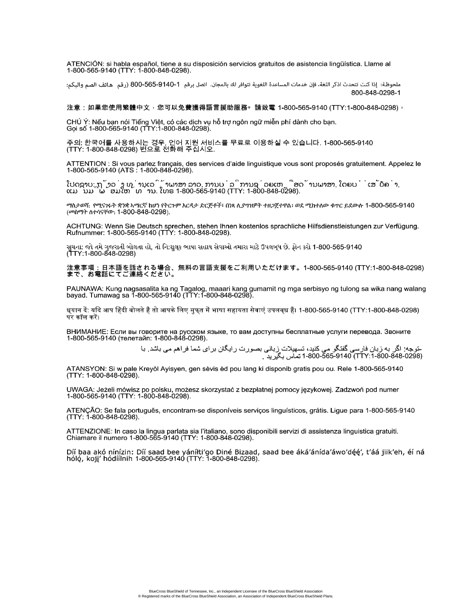ATENCIÓN: si habla español, tiene a su disposición servicios gratuitos de asistencia lingüística. Llame al<br>1-800-565-9140 (TTY: 1-800-848-0298).

ملحوظة: إذا كنت تتحدث اذكر اللغة، فإن خدمات المساعدة اللغوية تتوافر لك بالمجان. اتصل برقم 1-040-665-800 (رقم هاتف الصم والبكم: 800-848-0298-1

# 注意:如果您使用繁體中文,您可以免費獲得語言援助服務。請致電 1-800-565-9140 (TTY:1-800-848-0298)。

CHÚ Ý: Nếu bạn nói Tiếng Việt, có các dịch vụ hỗ trợ ngôn ngữ miễn phí dành cho bạn.<br>Gọi số 1-800-565-9140 (TTY:1-800-848-0298).

주의: 한국어를 사용하시는 경우, 언어 지원 서비스를 무료로 이용하실 수 있습니다. 1-800-565-9140<br>(TTY: 1-800-848-0298) 번으로 전화해 주십시오.

ATTENTION : Si vous parlez français, des services d'aide linguistique vous sont proposés gratuitement. Appelez le<br>1-800-565-9140 (ATS : 1-800-848-0298).

.<br>ໂປດຊາບ: ຖ້າວ່າ ທ່ານເວົ້າພາສາ ລາວ, ການບໍລິການຊ່ວຍເຫຼືອດ້ານພາສາ, ໂດຍບໍ່ເສັຽຄ່າ,<br>ແມ່ນມີພ້ອມໃຫ້ທ່ານ. ໂທຣ 1-800-565-9140 (TTY: 1-800-848-0298).

ማስታወሻ: የሚናገሩት ቋንቋ ኣማርኛ ከሆነ የትርጉም እርዳታ ድርጅቶች፣ በነጻ ሊያማዝዎት ተዘጋጀተዋል፡ ወደ ሚከተለው ቁጥር ይደውሉ 1-800-565-9140 (መስማት ለተሳናቸው: 1-800-848-0298).

ACHTUNG: Wenn Sie Deutsch sprechen, stehen Ihnen kostenlos sprachliche Hilfsdienstleistungen zur Verfügung.<br>Rufnummer: 1-800-565-9140 (TTY: 1-800-848-0298).

સચના: જો તમે ગુજરાતી બોલતા હો, તો નિ:શુલક ભાષા સહાય સેવાઓ તમારા માટે ઉપલબુધ છે. ફોન કરો 1-800-565-9140 (TTY:1-800-848-0298)

注意事項:日本語を話される場合、無料の言語支援をご利用いただけます。1-800-565-9140 (TTY:1-800-848-0298)<br>まで、お電話にてご連絡ください。

PAUNAWA: Kung nagsasalita ka ng Tagalog, maaari kang gumamit ng mga serbisyo ng tulong sa wika nang walang<br>bayad. Tumawag sa 1-800-565-9140 (TTY:1-800-848-0298).

धयान दें: यदि आप हिंदी बोलते हैं तो आपके लिए मफत में भाषा सहायता सेवाएं उपलबध है। 1-800-565-9140 (TTY:1-800-848-0298) पर कॉल करें।

ВНИМАНИЕ: Если вы говорите на русском языке, то вам доступны бесплатные услуги перевода. Звоните<br>1-800-565-9140 (телетайп: 1-800-848-0298).

-توجه: اگر به زبان فارسی گفتگو می کنید، تسهیلات زبانی بصورت رایگان برای شما فراهم می باشد. با<br>(7298-848-0298)07-1-00-565-9140 17۲:1-800 نماس بگیرید .

ATANSYON: Si w pale Kreyòl Ayisyen, gen sèvis èd pou lang ki disponib gratis pou ou. Rele 1-800-565-9140  $(TTY: 1-800-848-0298)$ .

UWAGA: Jeżeli mówisz po polsku, możesz skorzystać z bezpłatnej pomocy językowej. Zadzwoń pod numer 1-800-565-9140 (TTY: 1-800-848-0298).

ATENÇÃO: Se fala português, encontram-se disponíveis serviços linguísticos, grátis. Ligue para 1-800-565-9140 (TTY: 1-800-848-0298).

ATTENZIONE: In caso la lingua parlata sia l'italiano, sono disponibili servizi di assistenza linguistica gratuiti. Chiamare il numero 1-800-565-9140 (TTY: 1-800-848-0298).

Díí baa akó nínízin: Díí saad bee yáníłti'go Diné Bizaad, saad bee áká'ánída'áwo'déé', t'áá jiik'eh, éí ná<br>hóló, koji' hódíílnih 1-800-565-9140 (TTY: 1-800-848-0298).